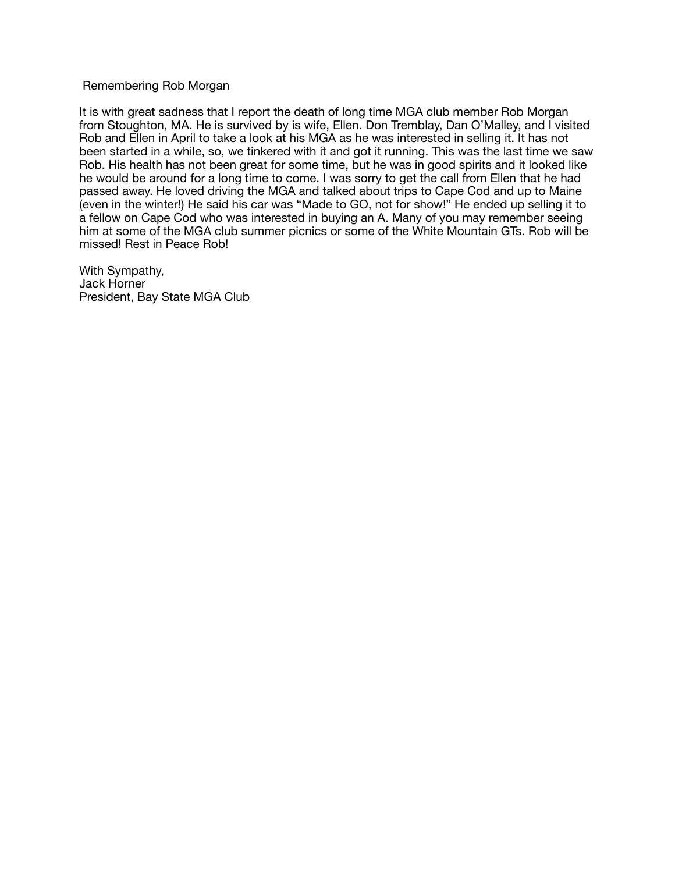## Remembering Rob Morgan

It is with great sadness that I report the death of long time MGA club member Rob Morgan from Stoughton, MA. He is survived by is wife, Ellen. Don Tremblay, Dan O'Malley, and I visited Rob and Ellen in April to take a look at his MGA as he was interested in selling it. It has not been started in a while, so, we tinkered with it and got it running. This was the last time we saw Rob. His health has not been great for some time, but he was in good spirits and it looked like he would be around for a long time to come. I was sorry to get the call from Ellen that he had passed away. He loved driving the MGA and talked about trips to Cape Cod and up to Maine (even in the winter!) He said his car was "Made to GO, not for show!" He ended up selling it to a fellow on Cape Cod who was interested in buying an A. Many of you may remember seeing him at some of the MGA club summer picnics or some of the White Mountain GTs. Rob will be missed! Rest in Peace Rob!

With Sympathy, Jack Horner President, Bay State MGA Club